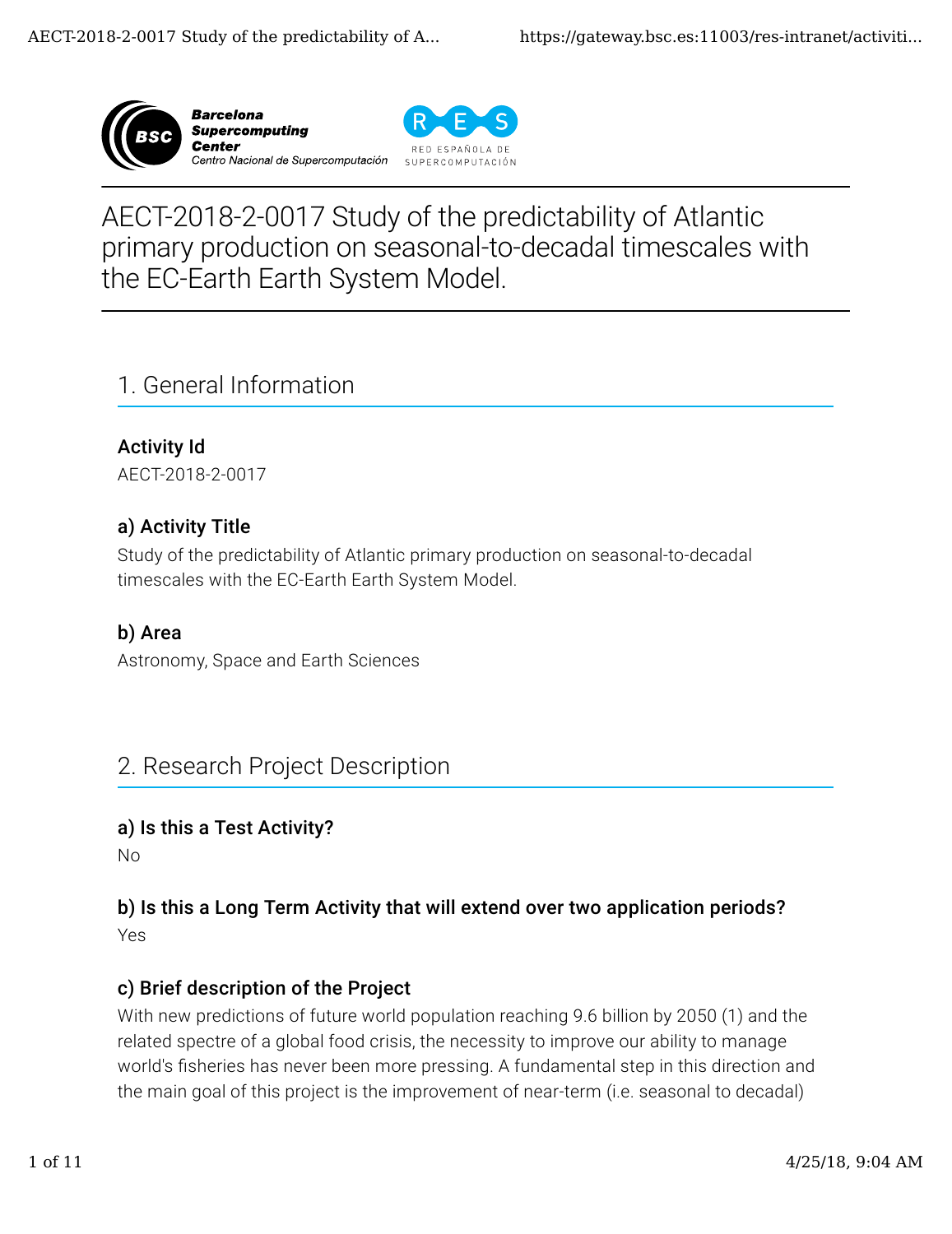





# AECT-2018-2-0017 Study of the predictability of Atlantic primary production on seasonal-to-decadal timescales with the EC-Earth Earth System Model.

# 1. General Information

Activity Id AECT-2018-2-0017

## a) Activity Title

Study of the predictability of Atlantic primary production on seasonal-to-decadal timescales with the EC-Earth Earth System Model.

### b) Area

Astronomy, Space and Earth Sciences

## 2. Research Project Description

### a) Is this a Test Activity?

No

## b) Is this a Long Term Activity that will extend over two application periods?

Yes

## c) Brief description of the Project

With new predictions of future world population reaching 9.6 billion by 2050 (1) and the related spectre of a global food crisis, the necessity to improve our ability to manage world's fisheries has never been more pressing. A fundamental step in this direction and the main goal of this project is the improvement of near-term (i.e. seasonal to decadal)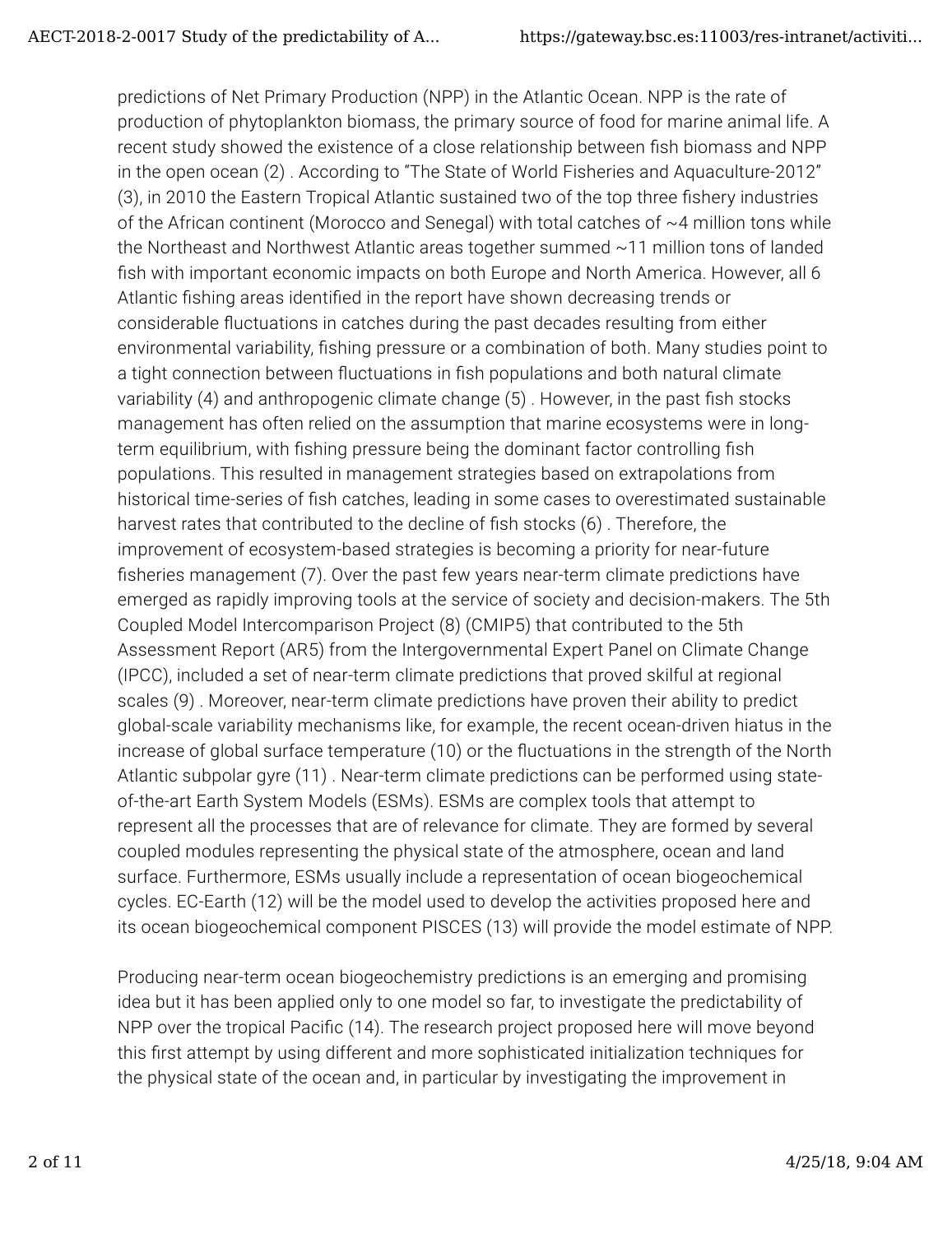predictions of Net Primary Production (NPP) in the Atlantic Ocean. NPP is the rate of production of phytoplankton biomass, the primary source of food for marine animal life. A recent study showed the existence of a close relationship between fish biomass and NPP in the open ocean (2) . According to "The State of World Fisheries and Aquaculture-2012" (3), in 2010 the Eastern Tropical Atlantic sustained two of the top three fishery industries of the African continent (Morocco and Senegal) with total catches of ~4 million tons while the Northeast and Northwest Atlantic areas together summed ~11 million tons of landed fish with important economic impacts on both Europe and North America. However, all 6 Atlantic fishing areas identified in the report have shown decreasing trends or considerable fluctuations in catches during the past decades resulting from either environmental variability, fishing pressure or a combination of both. Many studies point to a tight connection between fluctuations in fish populations and both natural climate variability  $(4)$  and anthropogenic climate change  $(5)$ . However, in the past fish stocks management has often relied on the assumption that marine ecosystems were in longterm equilibrium, with fishing pressure being the dominant factor controlling fish populations. This resulted in management strategies based on extrapolations from historical time-series of fish catches, leading in some cases to overestimated sustainable harvest rates that contributed to the decline of fish stocks (6). Therefore, the improvement of ecosystem-based strategies is becoming a priority for near-future fisheries management (7). Over the past few years near-term climate predictions have emerged as rapidly improving tools at the service of society and decision-makers. The 5th Coupled Model Intercomparison Project (8) (CMIP5) that contributed to the 5th Assessment Report (AR5) from the Intergovernmental Expert Panel on Climate Change (IPCC), included a set of near-term climate predictions that proved skilful at regional scales (9) . Moreover, near-term climate predictions have proven their ability to predict global-scale variability mechanisms like, for example, the recent ocean-driven hiatus in the increase of global surface temperature (10) or the fluctuations in the strength of the North Atlantic subpolar gyre (11) . Near-term climate predictions can be performed using stateof-the-art Earth System Models (ESMs). ESMs are complex tools that attempt to represent all the processes that are of relevance for climate. They are formed by several coupled modules representing the physical state of the atmosphere, ocean and land surface. Furthermore, ESMs usually include a representation of ocean biogeochemical cycles. EC-Earth (12) will be the model used to develop the activities proposed here and its ocean biogeochemical component PISCES (13) will provide the model estimate of NPP.

Producing near-term ocean biogeochemistry predictions is an emerging and promising idea but it has been applied only to one model so far, to investigate the predictability of NPP over the tropical Pacific (14). The research project proposed here will move beyond this first attempt by using different and more sophisticated initialization techniques for the physical state of the ocean and, in particular by investigating the improvement in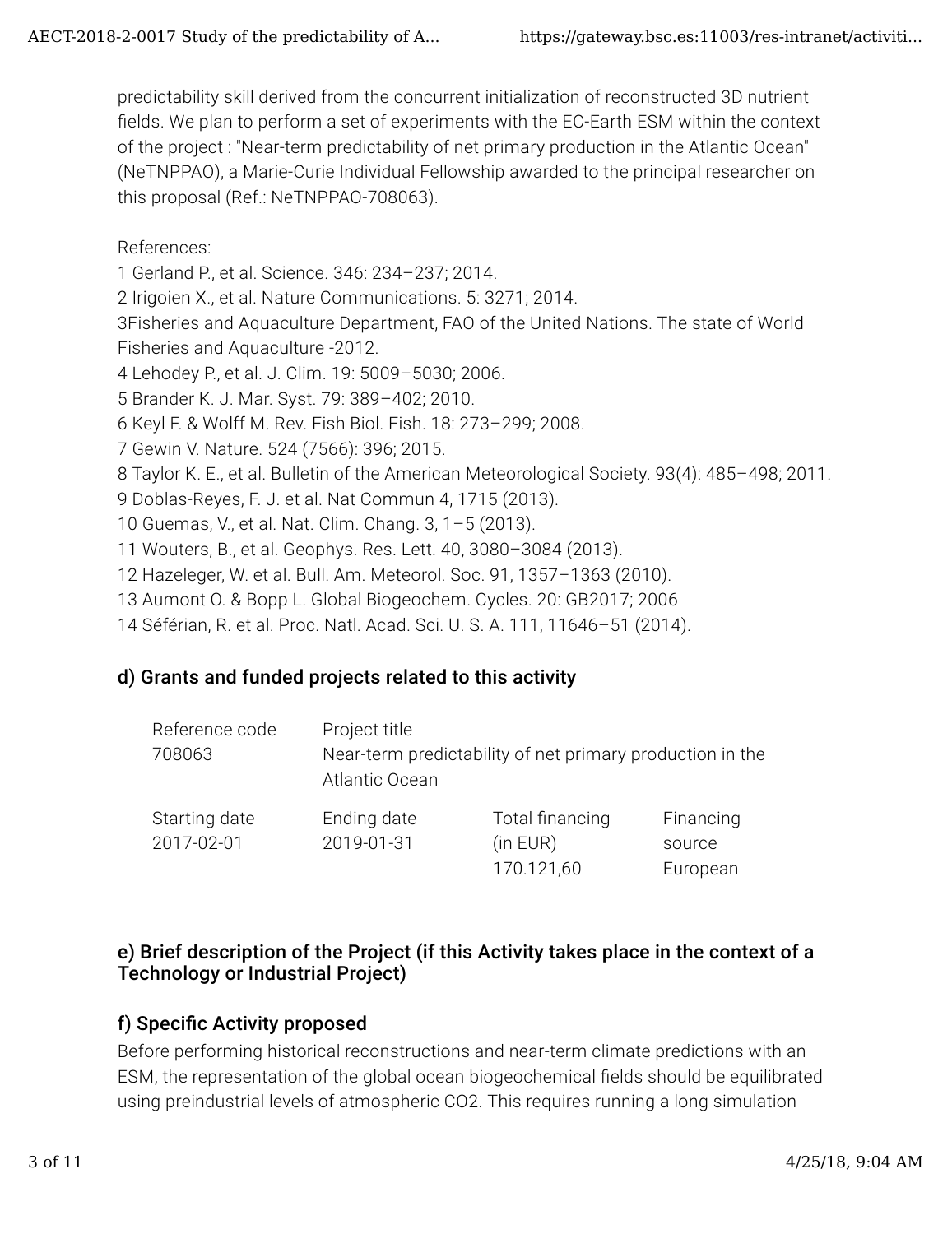predictability skill derived from the concurrent initialization of reconstructed 3D nutrient fields. We plan to perform a set of experiments with the EC-Earth ESM within the context of the project : "Near-term predictability of net primary production in the Atlantic Ocean" (NeTNPPAO), a Marie-Curie Individual Fellowship awarded to the principal researcher on this proposal (Ref.: NeTNPPAO-708063).

#### References:

1 Gerland P., et al. Science. 346: 234–237; 2014.

2 Irigoien X., et al. Nature Communications. 5: 3271; 2014.

3Fisheries and Aquaculture Department, FAO of the United Nations. The state of World Fisheries and Aquaculture -2012.

- 4 Lehodey P., et al. J. Clim. 19: 5009–5030; 2006.
- 5 Brander K. J. Mar. Syst. 79: 389–402; 2010.
- 6 Keyl F. & Wolff M. Rev. Fish Biol. Fish. 18: 273–299; 2008.
- 7 Gewin V. Nature. 524 (7566): 396; 2015.
- 8 Taylor K. E., et al. Bulletin of the American Meteorological Society. 93(4): 485–498; 2011.
- 9 Doblas-Reyes, F. J. et al. Nat Commun 4, 1715 (2013).
- 10 Guemas, V., et al. Nat. Clim. Chang. 3, 1–5 (2013).
- 11 Wouters, B., et al. Geophys. Res. Lett. 40, 3080–3084 (2013).
- 12 Hazeleger, W. et al. Bull. Am. Meteorol. Soc. 91, 1357–1363 (2010).
- 13 Aumont O. & Bopp L. Global Biogeochem. Cycles. 20: GB2017; 2006
- 14 Séférian, R. et al. Proc. Natl. Acad. Sci. U. S. A. 111, 11646–51 (2014).

### d) Grants and funded projects related to this activity

| Reference code<br>708063 | Project title<br>Near-term predictability of net primary production in the<br>Atlantic Ocean |                        |                    |  |  |
|--------------------------|----------------------------------------------------------------------------------------------|------------------------|--------------------|--|--|
| Starting date            | Ending date<br>2019-01-31                                                                    | Total financing        | Financing          |  |  |
| 2017-02-01               |                                                                                              | (in EUR)<br>170.121,60 | source<br>European |  |  |

#### e) Brief description of the Project (if this Activity takes place in the context of a Technology or Industrial Project)

### f) Specific Activity proposed

Before performing historical reconstructions and near-term climate predictions with an ESM, the representation of the global ocean biogeochemical fields should be equilibrated using preindustrial levels of atmospheric CO2. This requires running a long simulation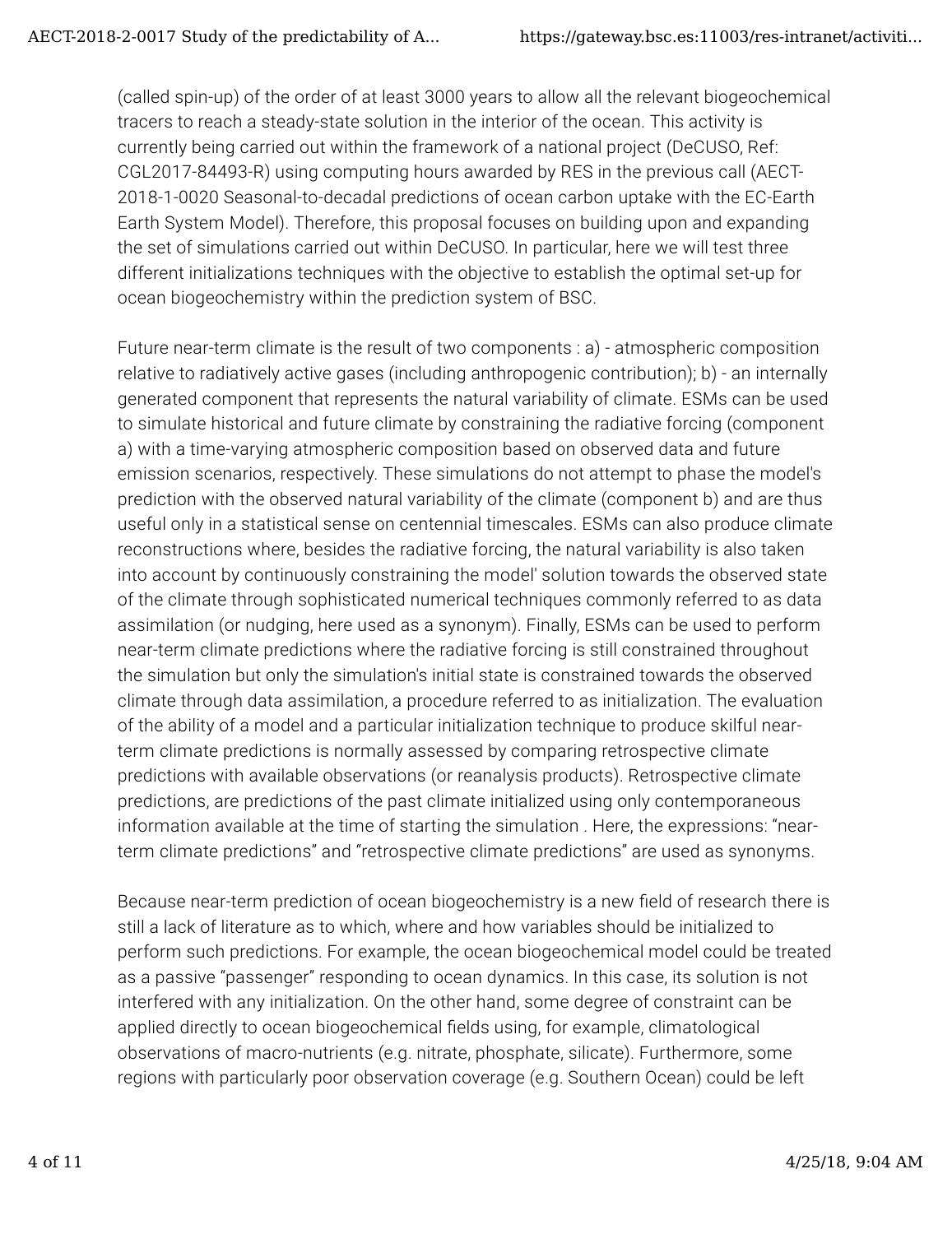(called spin-up) of the order of at least 3000 years to allow all the relevant biogeochemical tracers to reach a steady-state solution in the interior of the ocean. This activity is currently being carried out within the framework of a national project (DeCUSO, Ref: CGL2017-84493-R) using computing hours awarded by RES in the previous call (AECT-2018-1-0020 Seasonal-to-decadal predictions of ocean carbon uptake with the EC-Earth Earth System Model). Therefore, this proposal focuses on building upon and expanding the set of simulations carried out within DeCUSO. In particular, here we will test three different initializations techniques with the objective to establish the optimal set-up for ocean biogeochemistry within the prediction system of BSC.

Future near-term climate is the result of two components : a) - atmospheric composition relative to radiatively active gases (including anthropogenic contribution); b) - an internally generated component that represents the natural variability of climate. ESMs can be used to simulate historical and future climate by constraining the radiative forcing (component a) with a time-varying atmospheric composition based on observed data and future emission scenarios, respectively. These simulations do not attempt to phase the model's prediction with the observed natural variability of the climate (component b) and are thus useful only in a statistical sense on centennial timescales. ESMs can also produce climate reconstructions where, besides the radiative forcing, the natural variability is also taken into account by continuously constraining the model' solution towards the observed state of the climate through sophisticated numerical techniques commonly referred to as data assimilation (or nudging, here used as a synonym). Finally, ESMs can be used to perform near-term climate predictions where the radiative forcing is still constrained throughout the simulation but only the simulation's initial state is constrained towards the observed climate through data assimilation, a procedure referred to as initialization. The evaluation of the ability of a model and a particular initialization technique to produce skilful nearterm climate predictions is normally assessed by comparing retrospective climate predictions with available observations (or reanalysis products). Retrospective climate predictions, are predictions of the past climate initialized using only contemporaneous information available at the time of starting the simulation . Here, the expressions: "nearterm climate predictions" and "retrospective climate predictions" are used as synonyms.

Because near-term prediction of ocean biogeochemistry is a new field of research there is still a lack of literature as to which, where and how variables should be initialized to perform such predictions. For example, the ocean biogeochemical model could be treated as a passive "passenger" responding to ocean dynamics. In this case, its solution is not interfered with any initialization. On the other hand, some degree of constraint can be applied directly to ocean biogeochemical fields using, for example, climatological observations of macro-nutrients (e.g. nitrate, phosphate, silicate). Furthermore, some regions with particularly poor observation coverage (e.g. Southern Ocean) could be left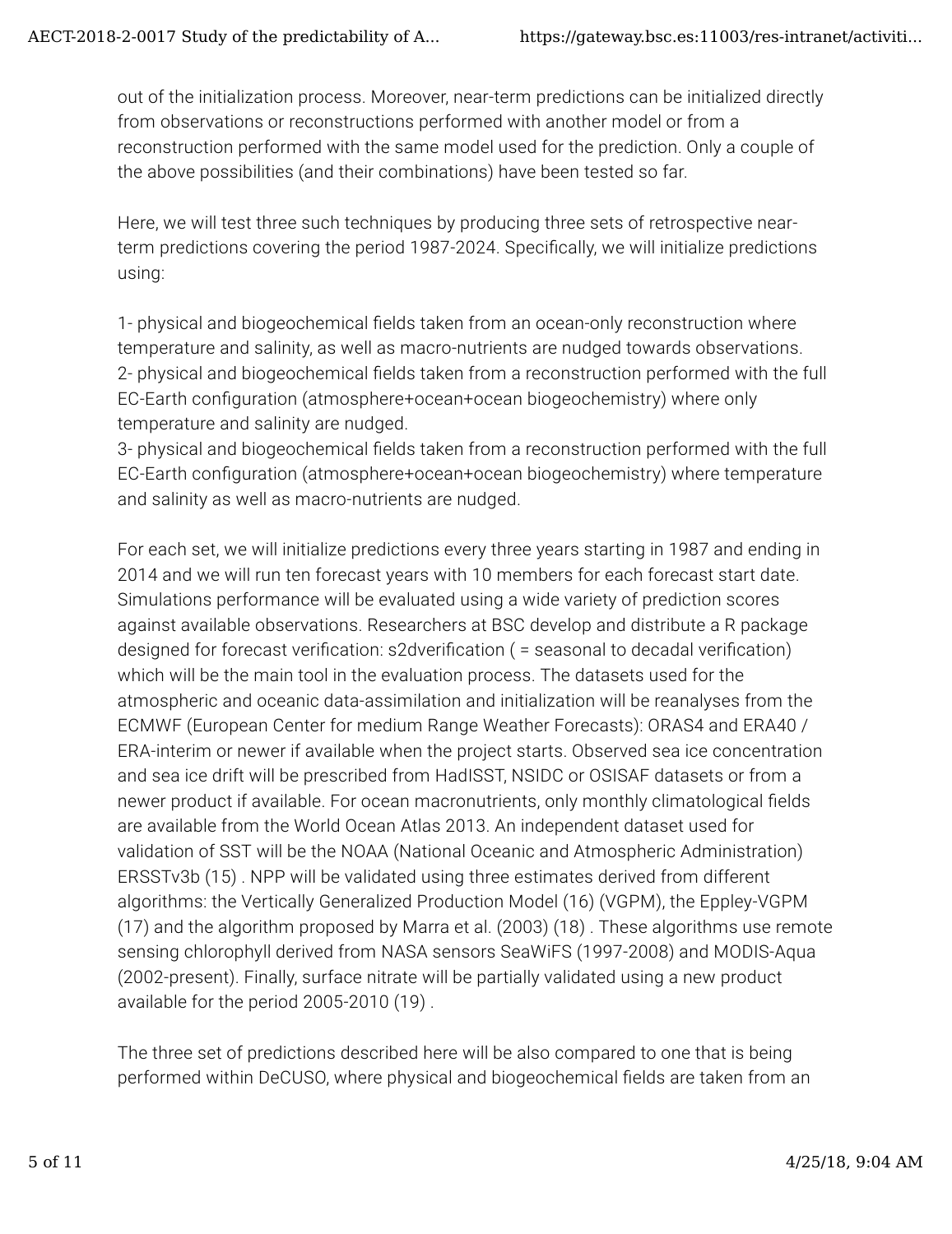out of the initialization process. Moreover, near-term predictions can be initialized directly from observations or reconstructions performed with another model or from a reconstruction performed with the same model used for the prediction. Only a couple of the above possibilities (and their combinations) have been tested so far.

Here, we will test three such techniques by producing three sets of retrospective nearterm predictions covering the period 1987-2024. Specifically, we will initialize predictions using:

1- physical and biogeochemical fields taken from an ocean-only reconstruction where temperature and salinity, as well as macro-nutrients are nudged towards observations. 2- physical and biogeochemical fields taken from a reconstruction performed with the full EC-Earth configuration (atmosphere+ocean+ocean biogeochemistry) where only temperature and salinity are nudged.

3- physical and biogeochemical fields taken from a reconstruction performed with the full EC-Earth con�guration (atmosphere+ocean+ocean biogeochemistry) where temperature and salinity as well as macro-nutrients are nudged.

For each set, we will initialize predictions every three years starting in 1987 and ending in 2014 and we will run ten forecast years with 10 members for each forecast start date. Simulations performance will be evaluated using a wide variety of prediction scores against available observations. Researchers at BSC develop and distribute a R package designed for forecast verification: s2dverification ( = seasonal to decadal verification) which will be the main tool in the evaluation process. The datasets used for the atmospheric and oceanic data-assimilation and initialization will be reanalyses from the ECMWF (European Center for medium Range Weather Forecasts): ORAS4 and ERA40 / ERA-interim or newer if available when the project starts. Observed sea ice concentration and sea ice drift will be prescribed from HadISST, NSIDC or OSISAF datasets or from a newer product if available. For ocean macronutrients, only monthly climatological fields are available from the World Ocean Atlas 2013. An independent dataset used for validation of SST will be the NOAA (National Oceanic and Atmospheric Administration) ERSSTv3b (15) . NPP will be validated using three estimates derived from different algorithms: the Vertically Generalized Production Model (16) (VGPM), the Eppley-VGPM (17) and the algorithm proposed by Marra et al. (2003) (18) . These algorithms use remote sensing chlorophyll derived from NASA sensors SeaWiFS (1997-2008) and MODIS-Aqua (2002-present). Finally, surface nitrate will be partially validated using a new product available for the period 2005-2010 (19) .

The three set of predictions described here will be also compared to one that is being performed within DeCUSO, where physical and biogeochemical �elds are taken from an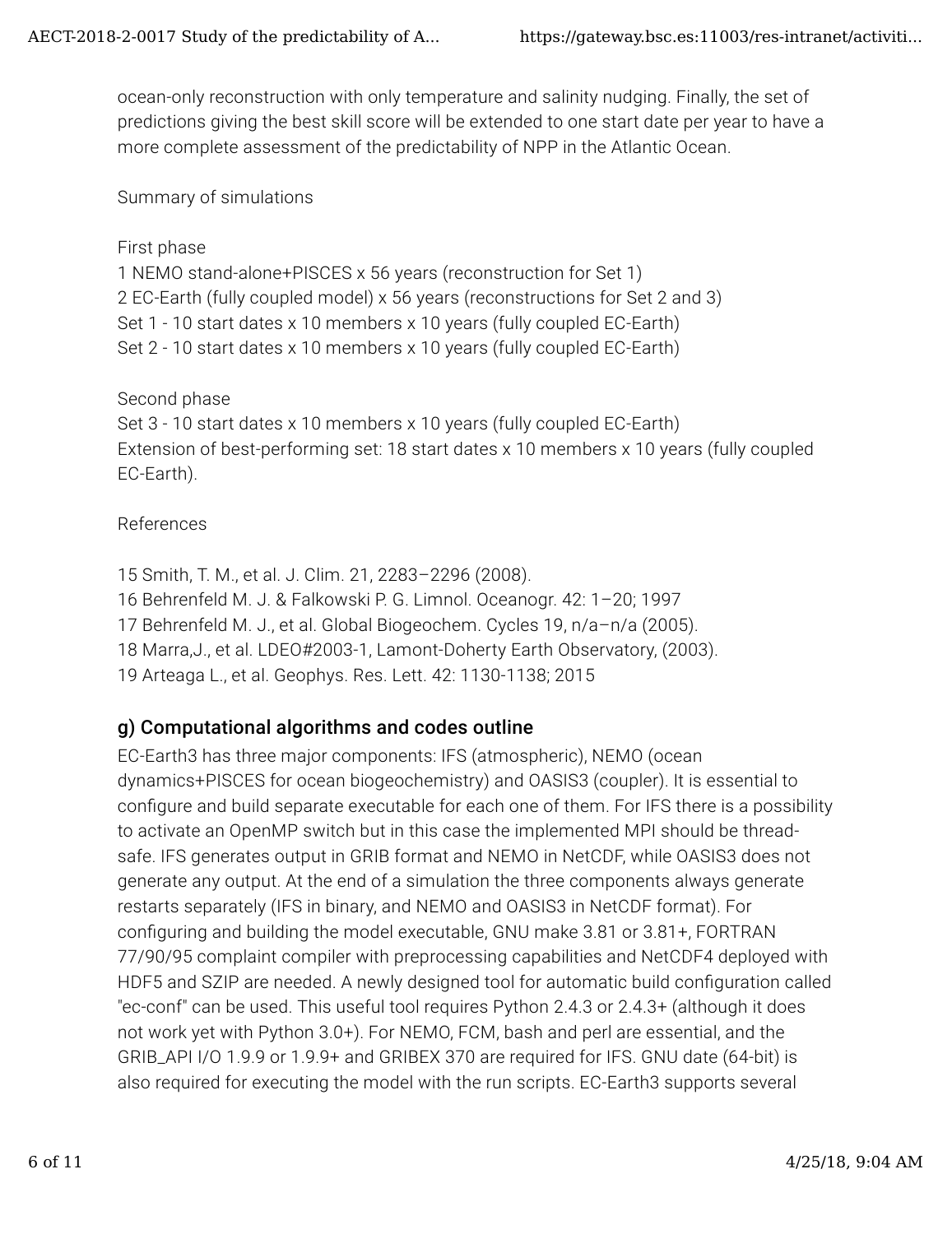ocean-only reconstruction with only temperature and salinity nudging. Finally, the set of predictions giving the best skill score will be extended to one start date per year to have a more complete assessment of the predictability of NPP in the Atlantic Ocean.

Summary of simulations

#### First phase

1 NEMO stand-alone+PISCES x 56 years (reconstruction for Set 1) 2 EC-Earth (fully coupled model) x 56 years (reconstructions for Set 2 and 3) Set 1 - 10 start dates x 10 members x 10 years (fully coupled EC-Earth) Set 2 - 10 start dates x 10 members x 10 years (fully coupled EC-Earth)

Second phase

Set 3 - 10 start dates x 10 members x 10 years (fully coupled EC-Earth) Extension of best-performing set: 18 start dates x 10 members x 10 years (fully coupled EC-Earth).

#### References

15 Smith, T. M., et al. J. Clim. 21, 2283–2296 (2008). 16 Behrenfeld M. J. & Falkowski P. G. Limnol. Oceanogr. 42: 1–20; 1997 17 Behrenfeld M. J., et al. Global Biogeochem. Cycles 19, n/a–n/a (2005). 18 Marra,J., et al. LDEO#2003-1, Lamont-Doherty Earth Observatory, (2003). 19 Arteaga L., et al. Geophys. Res. Lett. 42: 1130-1138; 2015

#### g) Computational algorithms and codes outline

EC-Earth3 has three major components: IFS (atmospheric), NEMO (ocean dynamics+PISCES for ocean biogeochemistry) and OASIS3 (coupler). It is essential to configure and build separate executable for each one of them. For IFS there is a possibility to activate an OpenMP switch but in this case the implemented MPI should be threadsafe. IFS generates output in GRIB format and NEMO in NetCDF, while OASIS3 does not generate any output. At the end of a simulation the three components always generate restarts separately (IFS in binary, and NEMO and OASIS3 in NetCDF format). For con�guring and building the model executable, GNU make 3.81 or 3.81+, FORTRAN 77/90/95 complaint compiler with preprocessing capabilities and NetCDF4 deployed with HDF5 and SZIP are needed. A newly designed tool for automatic build configuration called "ec-conf" can be used. This useful tool requires Python 2.4.3 or 2.4.3+ (although it does not work yet with Python 3.0+). For NEMO, FCM, bash and perl are essential, and the GRIB\_API I/O 1.9.9 or 1.9.9+ and GRIBEX 370 are required for IFS. GNU date (64-bit) is also required for executing the model with the run scripts. EC-Earth3 supports several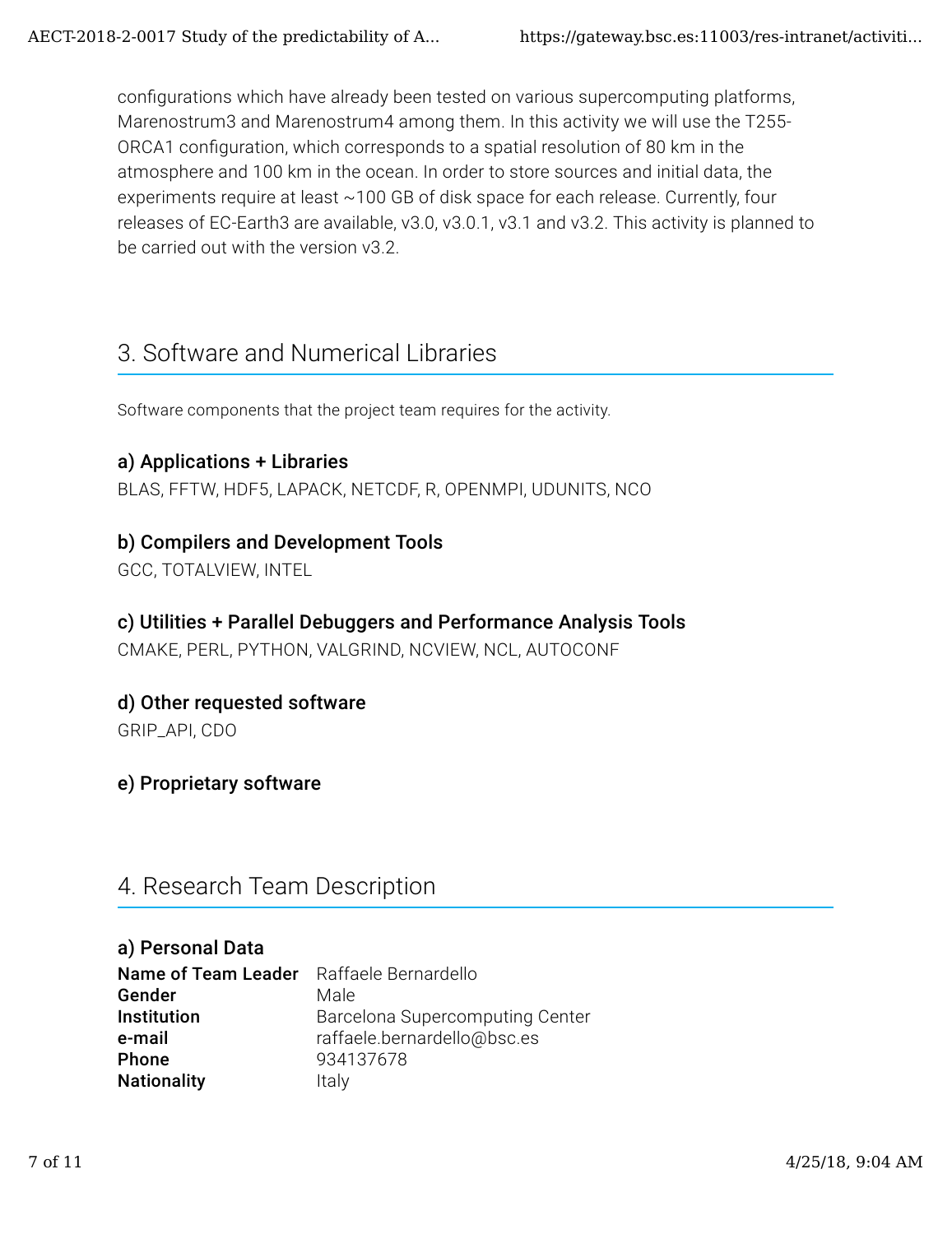configurations which have already been tested on various supercomputing platforms, Marenostrum3 and Marenostrum4 among them. In this activity we will use the T255- ORCA1 configuration, which corresponds to a spatial resolution of 80 km in the atmosphere and 100 km in the ocean. In order to store sources and initial data, the experiments require at least ~100 GB of disk space for each release. Currently, four releases of EC-Earth3 are available, v3.0, v3.0.1, v3.1 and v3.2. This activity is planned to be carried out with the version v3.2

## 3. Software and Numerical Libraries

Software components that the project team requires for the activity.

#### a) Applications + Libraries

BLAS, FFTW, HDF5, LAPACK, NETCDF, R, OPENMPI, UDUNITS, NCO

#### b) Compilers and Development Tools

GCC, TOTALVIEW, INTEL

#### c) Utilities + Parallel Debuggers and Performance Analysis Tools

CMAKE, PERL, PYTHON, VALGRIND, NCVIEW, NCL, AUTOCONF

#### d) Other requested software

GRIP\_API, CDO

#### e) Proprietary software

## 4. Research Team Description

#### a) Personal Data

| Name of Team Leader Raffaele Bernardello |                                 |
|------------------------------------------|---------------------------------|
| Gender                                   | Male                            |
| Institution                              | Barcelona Supercomputing Center |
| e-mail                                   | raffaele.bernardello@bsc.es     |
| Phone                                    | 934137678                       |
| <b>Nationality</b>                       | Italy                           |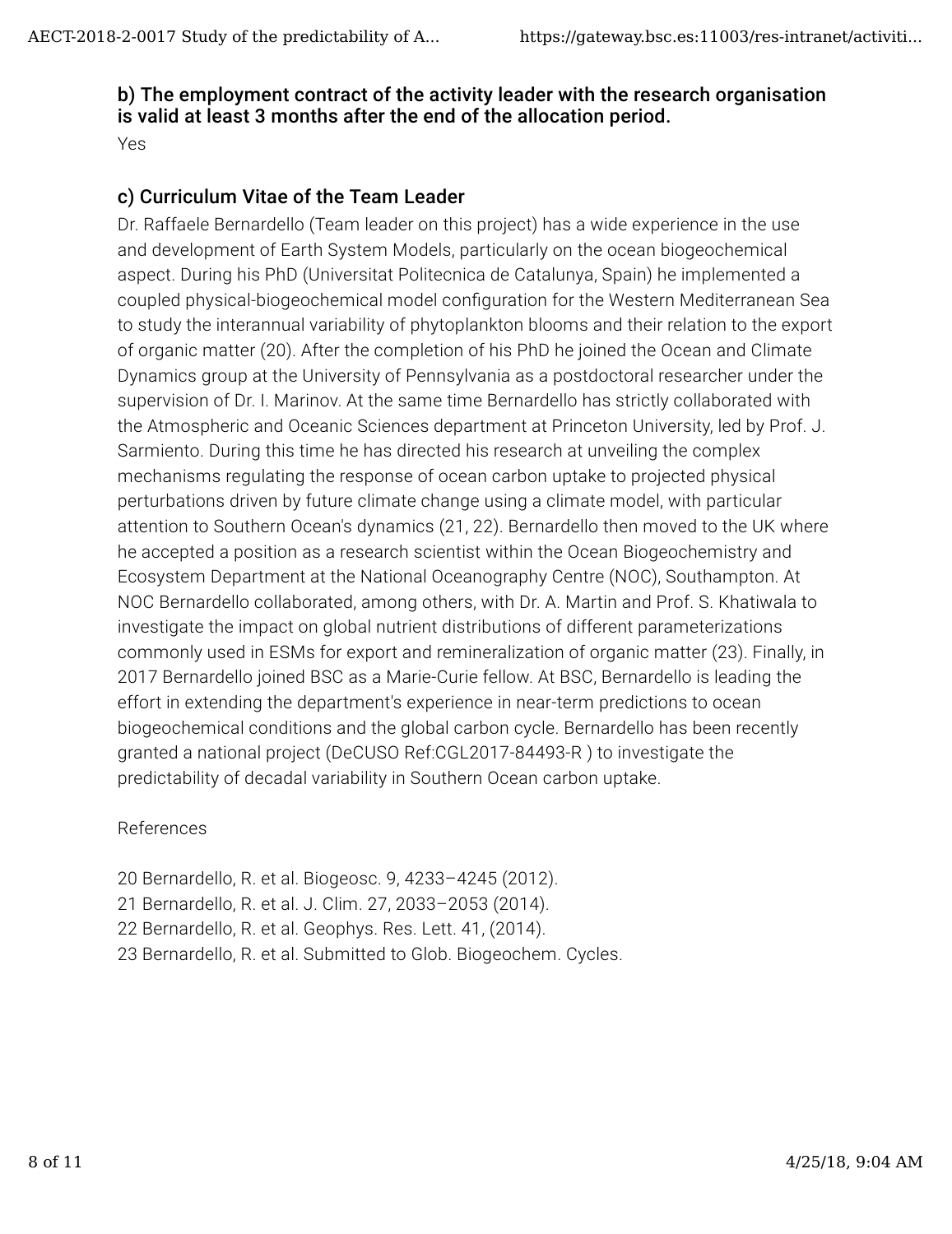#### b) The employment contract of the activity leader with the research organisation is valid at least 3 months after the end of the allocation period.

Yes

### c) Curriculum Vitae of the Team Leader

Dr. Raffaele Bernardello (Team leader on this project) has a wide experience in the use and development of Earth System Models, particularly on the ocean biogeochemical aspect. During his PhD (Universitat Politecnica de Catalunya, Spain) he implemented a coupled physical-biogeochemical model con�guration for the Western Mediterranean Sea to study the interannual variability of phytoplankton blooms and their relation to the export of organic matter (20). After the completion of his PhD he joined the Ocean and Climate Dynamics group at the University of Pennsylvania as a postdoctoral researcher under the supervision of Dr. I. Marinov. At the same time Bernardello has strictly collaborated with the Atmospheric and Oceanic Sciences department at Princeton University, led by Prof. J. Sarmiento. During this time he has directed his research at unveiling the complex mechanisms regulating the response of ocean carbon uptake to projected physical perturbations driven by future climate change using a climate model, with particular attention to Southern Ocean's dynamics (21, 22). Bernardello then moved to the UK where he accepted a position as a research scientist within the Ocean Biogeochemistry and Ecosystem Department at the National Oceanography Centre (NOC), Southampton. At NOC Bernardello collaborated, among others, with Dr. A. Martin and Prof. S. Khatiwala to investigate the impact on global nutrient distributions of different parameterizations commonly used in ESMs for export and remineralization of organic matter (23). Finally, in 2017 Bernardello joined BSC as a Marie-Curie fellow. At BSC, Bernardello is leading the effort in extending the department's experience in near-term predictions to ocean biogeochemical conditions and the global carbon cycle. Bernardello has been recently granted a national project (DeCUSO Ref:CGL2017-84493-R ) to investigate the predictability of decadal variability in Southern Ocean carbon uptake.

#### References

20 Bernardello, R. et al. Biogeosc. 9, 4233–4245 (2012). 21 Bernardello, R. et al. J. Clim. 27, 2033–2053 (2014). 22 Bernardello, R. et al. Geophys. Res. Lett. 41, (2014). 23 Bernardello, R. et al. Submitted to Glob. Biogeochem. Cycles.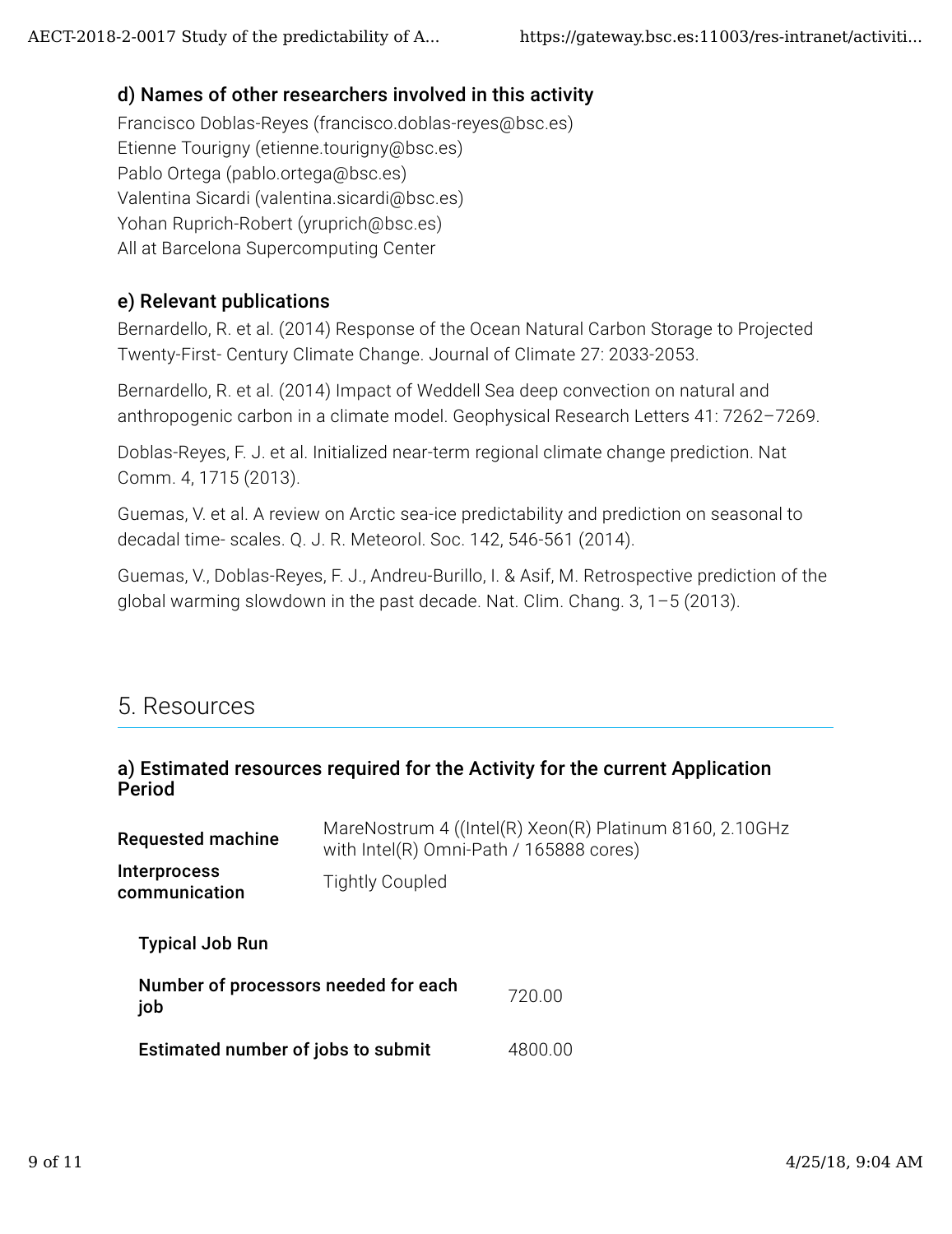#### d) Names of other researchers involved in this activity

Francisco Doblas-Reyes (francisco.doblas-reyes@bsc.es) Etienne Tourigny (etienne.tourigny@bsc.es) Pablo Ortega (pablo.ortega@bsc.es) Valentina Sicardi (valentina.sicardi@bsc.es) Yohan Ruprich-Robert (yruprich@bsc.es) All at Barcelona Supercomputing Center

#### e) Relevant publications

Bernardello, R. et al. (2014) Response of the Ocean Natural Carbon Storage to Projected Twenty-First- Century Climate Change. Journal of Climate 27: 2033-2053.

Bernardello, R. et al. (2014) Impact of Weddell Sea deep convection on natural and anthropogenic carbon in a climate model. Geophysical Research Letters 41: 7262–7269.

Doblas-Reyes, F. J. et al. Initialized near-term regional climate change prediction. Nat Comm. 4, 1715 (2013).

Guemas, V. et al. A review on Arctic sea-ice predictability and prediction on seasonal to decadal time- scales. Q. J. R. Meteorol. Soc. 142, 546-561 (2014).

Guemas, V., Doblas-Reyes, F. J., Andreu-Burillo, I. & Asif, M. Retrospective prediction of the global warming slowdown in the past decade. Nat. Clim. Chang. 3, 1–5 (2013).

## 5. Resources

#### a) Estimated resources required for the Activity for the current Application Period

| <b>Requested machine</b>                    | MareNostrum 4 ((Intel(R) Xeon(R) Platinum 8160, 2.10GHz<br>with Intel(R) Omni-Path / 165888 cores) |         |  |
|---------------------------------------------|----------------------------------------------------------------------------------------------------|---------|--|
| <b>Interprocess</b><br>communication        | <b>Tightly Coupled</b>                                                                             |         |  |
| <b>Typical Job Run</b>                      |                                                                                                    |         |  |
| Number of processors needed for each<br>job |                                                                                                    | 720.00  |  |
| Estimated number of jobs to submit          |                                                                                                    | 4800.00 |  |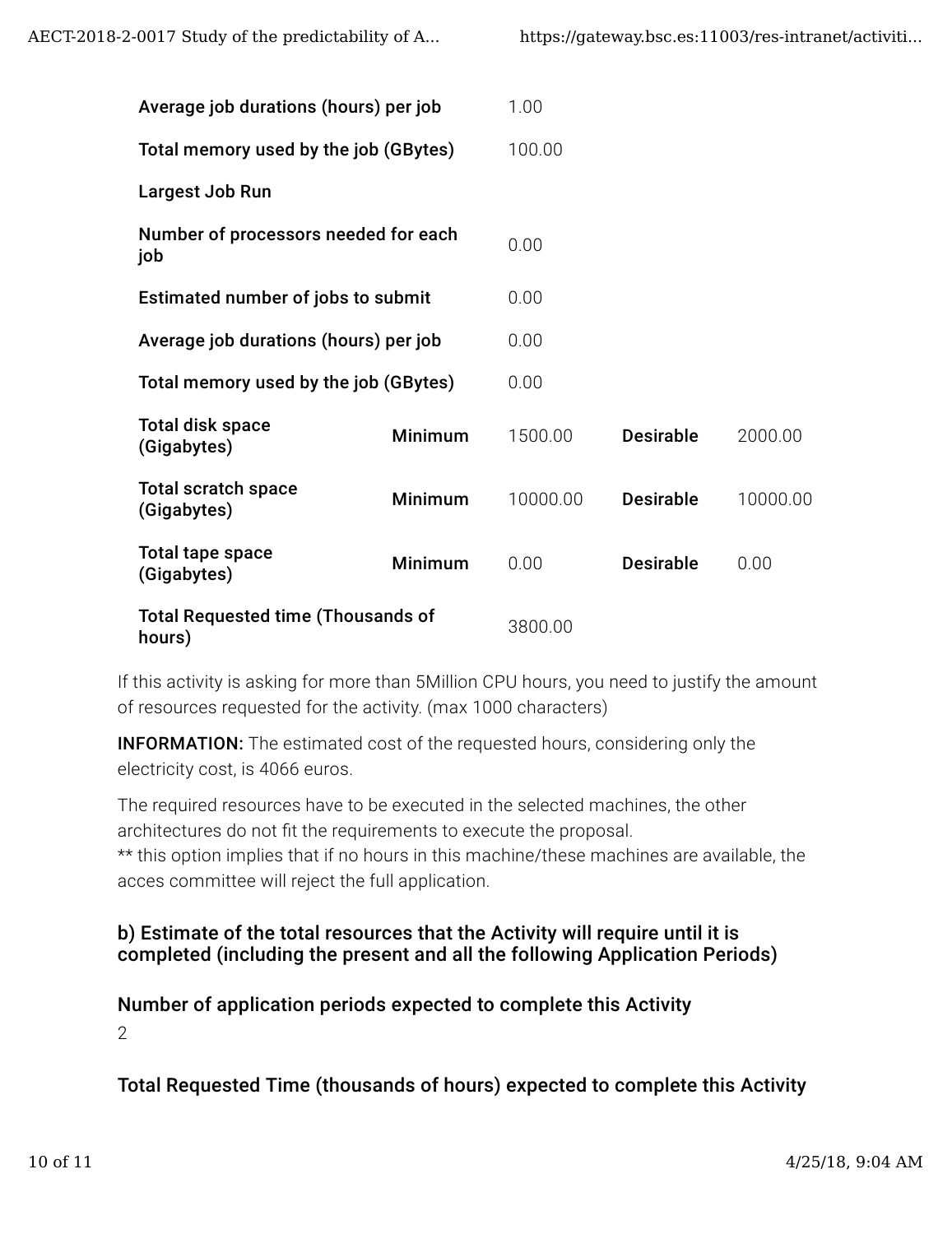| Average job durations (hours) per job               |                | 1.00     |                  |          |
|-----------------------------------------------------|----------------|----------|------------------|----------|
| Total memory used by the job (GBytes)               |                | 100.00   |                  |          |
| Largest Job Run                                     |                |          |                  |          |
| Number of processors needed for each<br>job         |                | 0.00     |                  |          |
| Estimated number of jobs to submit                  |                | 0.00     |                  |          |
| Average job durations (hours) per job               |                | 0.00     |                  |          |
| Total memory used by the job (GBytes)               |                | 0.00     |                  |          |
| <b>Total disk space</b><br>(Gigabytes)              | Minimum        | 1500.00  | <b>Desirable</b> | 2000.00  |
| <b>Total scratch space</b><br>(Gigabytes)           | <b>Minimum</b> | 10000.00 | <b>Desirable</b> | 10000.00 |
| Total tape space<br>(Gigabytes)                     | Minimum        | 0.00     | <b>Desirable</b> | 0.00     |
| <b>Total Requested time (Thousands of</b><br>hours) |                | 3800.00  |                  |          |

If this activity is asking for more than 5Million CPU hours, you need to justify the amount of resources requested for the activity. (max 1000 characters)

**INFORMATION:** The estimated cost of the requested hours, considering only the electricity cost, is 4066 euros.

The required resources have to be executed in the selected machines, the other architectures do not fit the requirements to execute the proposal. \*\* this option implies that if no hours in this machine/these machines are available, the acces committee will reject the full application.

#### b) Estimate of the total resources that the Activity will require until it is completed (including the present and all the following Application Periods)

Number of application periods expected to complete this Activity 2

Total Requested Time (thousands of hours) expected to complete this Activity